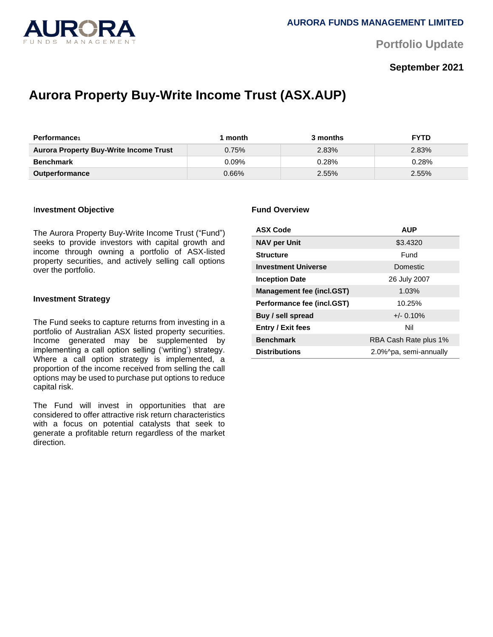

**Portfolio Update** 

# **September 2021**

# **Aurora Property Buy-Write Income Trust (ASX.AUP)**

| <b>Performance</b>                            | month    | 3 months | <b>FYTD</b> |
|-----------------------------------------------|----------|----------|-------------|
| <b>Aurora Property Buy-Write Income Trust</b> | 0.75%    | 2.83%    | 2.83%       |
| <b>Benchmark</b>                              | $0.09\%$ | 0.28%    | 0.28%       |
| <b>Outperformance</b>                         | $0.66\%$ | 2.55%    | 2.55%       |

#### I**nvestment Objective**

The Aurora Property Buy-Write Income Trust ("Fund") seeks to provide investors with capital growth and income through owning a portfolio of ASX-listed property securities, and actively selling call options over the portfolio.

#### **Investment Strategy**

The Fund seeks to capture returns from investing in a portfolio of Australian ASX listed property securities. Income generated may be supplemented by implementing a call option selling ('writing') strategy. Where a call option strategy is implemented, a proportion of the income received from selling the call options may be used to purchase put options to reduce capital risk.

The Fund will invest in opportunities that are considered to offer attractive risk return characteristics with a focus on potential catalysts that seek to generate a profitable return regardless of the market direction.

#### **Fund Overview**

| <b>ASX Code</b>                  | <b>AUP</b>             |  |
|----------------------------------|------------------------|--|
| <b>NAV per Unit</b>              | \$3.4320               |  |
| <b>Structure</b>                 | Fund                   |  |
| <b>Investment Universe</b>       | <b>Domestic</b>        |  |
| <b>Inception Date</b>            | 26 July 2007           |  |
| <b>Management fee (incl.GST)</b> | 1.03%                  |  |
| Performance fee (incl.GST)       | 10.25%                 |  |
| Buy / sell spread                | $+/- 0.10%$            |  |
| <b>Entry / Exit fees</b>         | Nil                    |  |
| <b>Benchmark</b>                 | RBA Cash Rate plus 1%  |  |
| <b>Distributions</b>             | 2.0%^pa, semi-annually |  |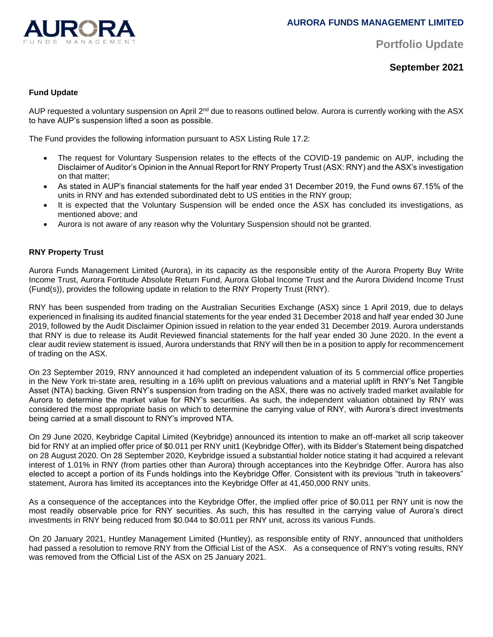

**Portfolio Update** 

**September 2021**

# **Fund Update**

AUP requested a voluntary suspension on April 2<sup>nd</sup> due to reasons outlined below. Aurora is currently working with the ASX to have AUP's suspension lifted a soon as possible.

The Fund provides the following information pursuant to ASX Listing Rule 17.2:

- The request for Voluntary Suspension relates to the effects of the COVID-19 pandemic on AUP, including the Disclaimer of Auditor's Opinion in the Annual Report for RNY Property Trust (ASX: RNY) and the ASX's investigation on that matter;
- As stated in AUP's financial statements for the half year ended 31 December 2019, the Fund owns 67.15% of the units in RNY and has extended subordinated debt to US entities in the RNY group;
- It is expected that the Voluntary Suspension will be ended once the ASX has concluded its investigations, as mentioned above; and
- Aurora is not aware of any reason why the Voluntary Suspension should not be granted.

# **RNY Property Trust**

Aurora Funds Management Limited (Aurora), in its capacity as the responsible entity of the Aurora Property Buy Write Income Trust, Aurora Fortitude Absolute Return Fund, Aurora Global Income Trust and the Aurora Dividend Income Trust (Fund(s)), provides the following update in relation to the RNY Property Trust (RNY).

RNY has been suspended from trading on the Australian Securities Exchange (ASX) since 1 April 2019, due to delays experienced in finalising its audited financial statements for the year ended 31 December 2018 and half year ended 30 June 2019, followed by the Audit Disclaimer Opinion issued in relation to the year ended 31 December 2019. Aurora understands that RNY is due to release its Audit Reviewed financial statements for the half year ended 30 June 2020. In the event a clear audit review statement is issued, Aurora understands that RNY will then be in a position to apply for recommencement of trading on the ASX.

On 23 September 2019, RNY announced it had completed an independent valuation of its 5 commercial office properties in the New York tri-state area, resulting in a 16% uplift on previous valuations and a material uplift in RNY's Net Tangible Asset (NTA) backing. Given RNY's suspension from trading on the ASX, there was no actively traded market available for Aurora to determine the market value for RNY's securities. As such, the independent valuation obtained by RNY was considered the most appropriate basis on which to determine the carrying value of RNY, with Aurora's direct investments being carried at a small discount to RNY's improved NTA.

On 29 June 2020, Keybridge Capital Limited (Keybridge) announced its intention to make an off-market all scrip takeover bid for RNY at an implied offer price of \$0.011 per RNY unit1 (Keybridge Offer), with its Bidder's Statement being dispatched on 28 August 2020. On 28 September 2020, Keybridge issued a substantial holder notice stating it had acquired a relevant interest of 1.01% in RNY (from parties other than Aurora) through acceptances into the Keybridge Offer. Aurora has also elected to accept a portion of its Funds holdings into the Keybridge Offer. Consistent with its previous "truth in takeovers" statement, Aurora has limited its acceptances into the Keybridge Offer at 41,450,000 RNY units.

As a consequence of the acceptances into the Keybridge Offer, the implied offer price of \$0.011 per RNY unit is now the most readily observable price for RNY securities. As such, this has resulted in the carrying value of Aurora's direct investments in RNY being reduced from \$0.044 to \$0.011 per RNY unit, across its various Funds.

On 20 January 2021, Huntley Management Limited (Huntley), as responsible entity of RNY, announced that unitholders had passed a resolution to remove RNY from the Official List of the ASX. As a consequence of RNY's voting results, RNY was removed from the Official List of the ASX on 25 January 2021.